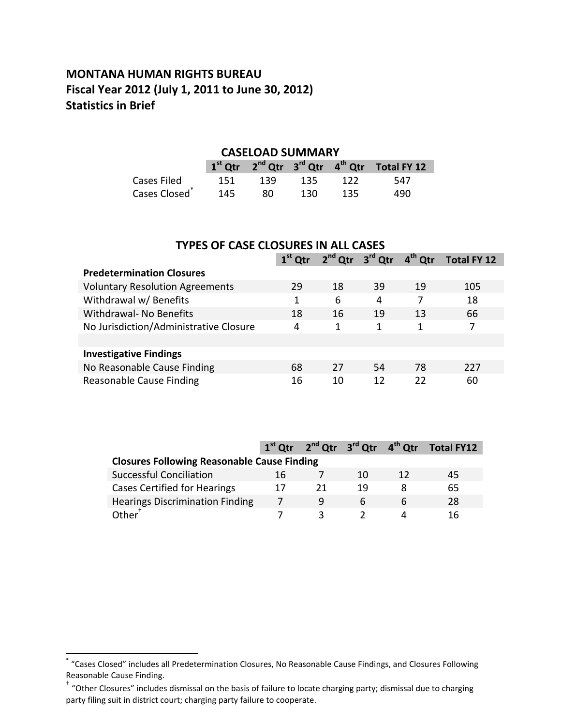## **MONTANA HUMAN RIGHTS BUREAU Fiscal Year 2012 (July 1, 2011 to June 30, 2012) Statistics in Brief**

#### **CASELOAD SUMMARY**

|                           |     |     |      |      | $1st$ Qtr $2nd$ Qtr $3rd$ Qtr $4th$ Qtr Total FY 12 |
|---------------------------|-----|-----|------|------|-----------------------------------------------------|
| Cases Filed               | 151 | 139 | 135  | 122  | - 547                                               |
| Cases Closed <sup>®</sup> | 145 | 80  | 130. | -135 | 490                                                 |

| <b>TYPES OF CASE CLOSURES IN ALL CASES</b> |                                                                                         |    |    |    |     |  |  |  |
|--------------------------------------------|-----------------------------------------------------------------------------------------|----|----|----|-----|--|--|--|
|                                            | 2 <sup>nd</sup> Qtr 3 <sup>rd</sup> Qtr<br>$4th$ Qtr<br>$1st$ Qtr<br><b>Total FY 12</b> |    |    |    |     |  |  |  |
| <b>Predetermination Closures</b>           |                                                                                         |    |    |    |     |  |  |  |
| <b>Voluntary Resolution Agreements</b>     | 29                                                                                      | 18 | 39 | 19 | 105 |  |  |  |
| Withdrawal w/ Benefits                     | 1                                                                                       | 6  | 4  |    | 18  |  |  |  |
| <b>Withdrawal- No Benefits</b>             | 18                                                                                      | 16 | 19 | 13 | 66  |  |  |  |
| No Jurisdiction/Administrative Closure     | 4                                                                                       | 1  | 1  | 1  | 7   |  |  |  |
|                                            |                                                                                         |    |    |    |     |  |  |  |
| <b>Investigative Findings</b>              |                                                                                         |    |    |    |     |  |  |  |
| No Reasonable Cause Finding                | 68                                                                                      | 27 | 54 | 78 | 227 |  |  |  |
| Reasonable Cause Finding                   | 16                                                                                      | 10 | 12 | 22 | 60  |  |  |  |

|                                                    |    | $1st$ Qtr $2nd$ Qtr $3rd$ Qtr $4th$ Qtr |    |    | Total FY12 |  |  |
|----------------------------------------------------|----|-----------------------------------------|----|----|------------|--|--|
| <b>Closures Following Reasonable Cause Finding</b> |    |                                         |    |    |            |  |  |
| <b>Successful Conciliation</b>                     | 16 |                                         | 10 | 12 | 45         |  |  |
| <b>Cases Certified for Hearings</b>                | 17 | 21                                      | 19 |    | 65         |  |  |
| <b>Hearings Discrimination Finding</b>             |    | 9                                       | h  |    | 28         |  |  |
| $\mathsf{Other}^{\dagger}$                         |    |                                         |    |    | 16.        |  |  |

 \* "Cases Closed" includes all Predetermination Closures, No Reasonable Cause Findings, and Closures Following Reasonable Cause Finding.

<sup>†</sup> "Other Closures" includes dismissal on the basis of failure to locate charging party; dismissal due to charging party filing suit in district court; charging party failure to cooperate.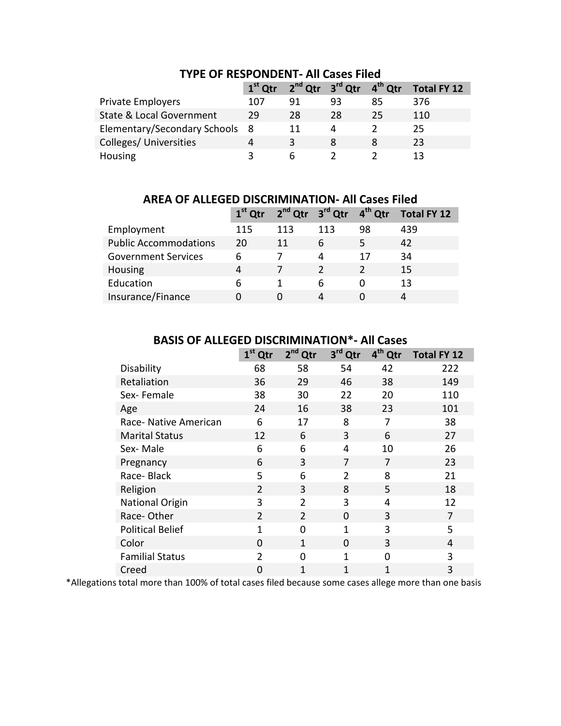|                                     | $1st$ Otr |    | $2nd$ Qtr $3rd$ Qtr $4th$ Qtr |    | Total FY 12 |
|-------------------------------------|-----------|----|-------------------------------|----|-------------|
| <b>Private Employers</b>            | 107       | 91 | 93                            | 85 | 376         |
| <b>State &amp; Local Government</b> | 29        | 28 | 28                            | 25 | 110         |
| Elementary/Secondary Schools 8      |           | 11 |                               |    | 25          |
| Colleges/ Universities              | 4         | ર  |                               |    | 23          |
| Housing                             | ર         | h  |                               |    | 13          |

## **TYPE OF RESPONDENT- All Cases Filed**

**AREA OF ALLEGED DISCRIMINATION- All Cases Filed**

|                              |     |     | $1st$ Qtr $2nd$ Qtr $3rd$ Qtr $4th$ Qtr |    | Total FY 12 |
|------------------------------|-----|-----|-----------------------------------------|----|-------------|
| Employment                   | 115 | 113 | 113                                     | 98 | 439         |
| <b>Public Accommodations</b> | 20  | 11  | 6                                       | 5  | 42          |
| <b>Government Services</b>   | 6   |     | 4                                       | 17 | 34          |
| Housing                      | 4   |     |                                         |    | 15          |
| Education                    | 6   |     | 6                                       | O  | 13          |
| Insurance/Finance            | O   | 0   | 4                                       |    |             |

|                         | $1st$ Qtr      | $2nd$ Qtr      | 3 <sup>rd</sup> Qtr | 4 <sup>th</sup><br>Qtr | <b>Total FY 12</b> |
|-------------------------|----------------|----------------|---------------------|------------------------|--------------------|
| Disability              | 68             | 58             | 54                  | 42                     | 222                |
| Retaliation             | 36             | 29             | 46                  | 38                     | 149                |
| Sex-Female              | 38             | 30             | 22                  | 20                     | 110                |
| Age                     | 24             | 16             | 38                  | 23                     | 101                |
| Race- Native American   | 6              | 17             | 8                   | 7                      | 38                 |
| <b>Marital Status</b>   | 12             | 6              | 3                   | 6                      | 27                 |
| Sex-Male                | 6              | 6              | 4                   | 10                     | 26                 |
| Pregnancy               | 6              | 3              | 7                   | 7                      | 23                 |
| Race-Black              | 5              | 6              | $\overline{2}$      | 8                      | 21                 |
| Religion                | $\overline{2}$ | 3              | 8                   | 5                      | 18                 |
| <b>National Origin</b>  | 3              | $\overline{2}$ | 3                   | 4                      | 12                 |
| Race-Other              | $\overline{2}$ | $\overline{2}$ | $\Omega$            | 3                      | 7                  |
| <b>Political Belief</b> | 1              | 0              | 1                   | 3                      | 5                  |
| Color                   | $\Omega$       | 1              | $\Omega$            | 3                      | 4                  |
| <b>Familial Status</b>  | $\mathfrak{p}$ | O              | $\mathbf{1}$        | $\Omega$               | 3                  |
| Creed                   | 0              | 1              | 1                   | 1                      | 3                  |

### **BASIS OF ALLEGED DISCRIMINATION\*- All Cases**

\*Allegations total more than 100% of total cases filed because some cases allege more than one basis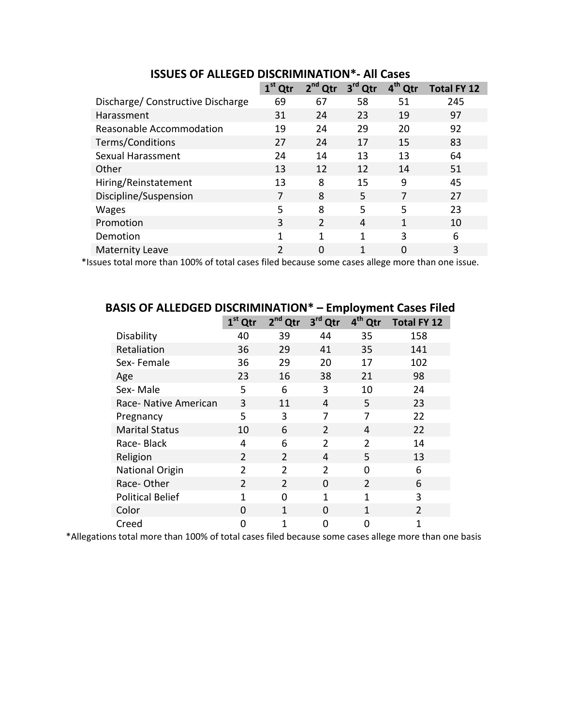|                                  | $1st$ Qtr      | $2nd$ Qtr     | 3 <sup>rd</sup><br>Qtr | 4 <sup>th</sup> Qtr | <b>Total FY 12</b> |
|----------------------------------|----------------|---------------|------------------------|---------------------|--------------------|
| Discharge/Constructive Discharge | 69             | 67            | 58                     | 51                  | 245                |
| Harassment                       | 31             | 24            | 23                     | 19                  | 97                 |
| Reasonable Accommodation         | 19             | 24            | 29                     | 20                  | 92                 |
| Terms/Conditions                 | 27             | 24            | 17                     | 15                  | 83                 |
| Sexual Harassment                | 24             | 14            | 13                     | 13                  | 64                 |
| Other                            | 13             | 12            | 12                     | 14                  | 51                 |
| Hiring/Reinstatement             | 13             | 8             | 15                     | 9                   | 45                 |
| Discipline/Suspension            |                | 8             | 5                      |                     | 27                 |
| <b>Wages</b>                     | 5              | 8             | 5                      | 5                   | 23                 |
| Promotion                        | 3              | $\mathcal{P}$ | 4                      | 1                   | 10                 |
| Demotion                         | 1              | 1             | 1                      | 3                   | 6                  |
| <b>Maternity Leave</b>           | $\overline{2}$ | $\Omega$      | 1                      | ი                   | 3                  |

**ISSUES OF ALLEGED DISCRIMINATION\*- All Cases**

\*Issues total more than 100% of total cases filed because some cases allege more than one issue.

|          | DASIS UF ALLEDUED DISCRIIVIII<br><b>Employment Cases Filed</b> |                |                |                |                     |                    |  |
|----------|----------------------------------------------------------------|----------------|----------------|----------------|---------------------|--------------------|--|
|          |                                                                | $1st$ Qtr      | $2nd$ Qtr      | 3rd Qtr        | 4 <sup>th</sup> Qtr | <b>Total FY 12</b> |  |
|          | Disability                                                     | 40             | 39             | 44             | 35                  | 158                |  |
|          | Retaliation                                                    | 36             | 29             | 41             | 35                  | 141                |  |
|          | Sex-Female                                                     | 36             | 29             | 20             | 17                  | 102                |  |
| Age      |                                                                | 23             | 16             | 38             | 21                  | 98                 |  |
|          | Sex-Male                                                       | 5              | 6              | 3              | 10                  | 24                 |  |
|          | Race- Native American                                          | 3              | 11             | 4              | 5                   | 23                 |  |
|          | Pregnancy                                                      | 5              | 3              | 7              | 7                   | 22                 |  |
|          | <b>Marital Status</b>                                          | 10             | 6              | $\overline{2}$ | 4                   | 22                 |  |
|          | Race-Black                                                     | 4              | 6              | $\overline{2}$ | $\overline{2}$      | 14                 |  |
| Religion |                                                                | $\overline{2}$ | $\overline{2}$ | 4              | 5                   | 13                 |  |
|          | <b>National Origin</b>                                         | $\mathcal{P}$  | $\overline{2}$ | $\mathcal{P}$  | 0                   | 6                  |  |
|          | Race-Other                                                     | $\overline{2}$ | $\overline{2}$ | 0              | $\overline{2}$      | 6                  |  |
|          | <b>Political Belief</b>                                        | 1              | 0              | 1              | 1                   | 3                  |  |
| Color    |                                                                | 0              | 1              | 0              | 1                   | $\overline{2}$     |  |
| Creed    |                                                                | 0              | 1              | 0              | 0                   | 1                  |  |

# **BASIS OF ALLEDGED DISCRIMINATION\* – Employment Cases Filed**

\*Allegations total more than 100% of total cases filed because some cases allege more than one basis